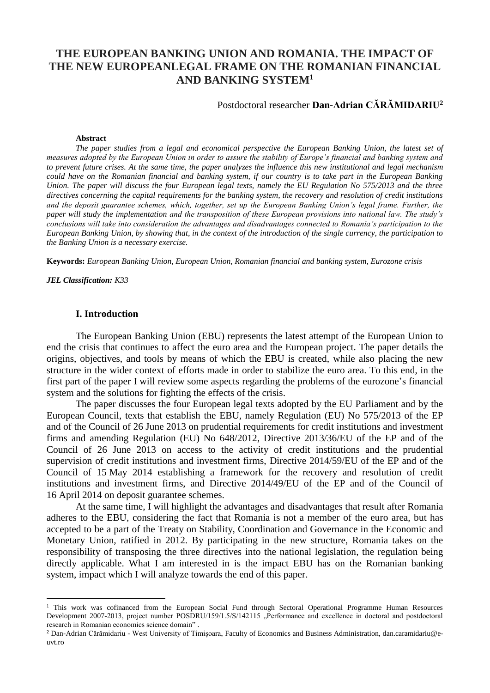# **THE EUROPEAN BANKING UNION AND ROMANIA. THE IMPACT OF THE NEW EUROPEANLEGAL FRAME ON THE ROMANIAN FINANCIAL AND BANKING SYSTEM<sup>1</sup>**

## Postdoctoral researcher **Dan-Adrian CĂRĂMIDARIU<sup>2</sup>**

#### **Abstract**

*The paper studies from a legal and economical perspective the European Banking Union, the latest set of measures adopted by the European Union in order to assure the stability of Europe's financial and banking system and to prevent future crises. At the same time, the paper analyzes the influence this new institutional and legal mechanism could have on the Romanian financial and banking system, if our country is to take part in the European Banking Union. The paper will discuss the four European legal texts, namely the EU Regulation No 575/2013 and the three directives concerning the capital requirements for the banking system, the recovery and resolution of credit institutions and the deposit guarantee schemes, which, together, set up the European Banking Union's legal frame. Further, the paper will study the implementation and the transposition of these European provisions into national law. The study's conclusions will take into consideration the advantages and disadvantages connected to Romania's participation to the European Banking Union, by showing that, in the context of the introduction of the single currency, the participation to the Banking Union is a necessary exercise.*

**Keywords:** *European Banking Union, European Union, Romanian financial and banking system, Eurozone crisis*

*JEL Classification: K33*

 $\overline{\phantom{a}}$ 

#### **I. Introduction**

The European Banking Union (EBU) represents the latest attempt of the European Union to end the crisis that continues to affect the euro area and the European project. The paper details the origins, objectives, and tools by means of which the EBU is created, while also placing the new structure in the wider context of efforts made in order to stabilize the euro area. To this end, in the first part of the paper I will review some aspects regarding the problems of the eurozone's financial system and the solutions for fighting the effects of the crisis.

The paper discusses the four European legal texts adopted by the EU Parliament and by the European Council, texts that establish the EBU, namely Regulation (EU) No 575/2013 of the EP and of the Council of 26 June 2013 on prudential requirements for credit institutions and investment firms and amending Regulation (EU) No 648/2012, Directive 2013/36/EU of the EP and of the Council of 26 June 2013 on access to the activity of credit institutions and the prudential supervision of credit institutions and investment firms, Directive 2014/59/EU of the EP and of the Council of 15 May 2014 establishing a framework for the recovery and resolution of credit institutions and investment firms, and Directive 2014/49/EU of the EP and of the Council of 16 April 2014 on deposit guarantee schemes.

At the same time, I will highlight the advantages and disadvantages that result after Romania adheres to the EBU, considering the fact that Romania is not a member of the euro area, but has accepted to be a part of the Treaty on Stability, Coordination and Governance in the Economic and Monetary Union, ratified in 2012. By participating in the new structure, Romania takes on the responsibility of transposing the three directives into the national legislation, the regulation being directly applicable. What I am interested in is the impact EBU has on the Romanian banking system, impact which I will analyze towards the end of this paper.

<sup>&</sup>lt;sup>1</sup> This work was cofinanced from the European Social Fund through Sectoral Operational Programme Human Resources Development 2007-2013, project number POSDRU/159/1.5/S/142115 "Performance and excellence in doctoral and postdoctoral research in Romanian economics science domain" .

<sup>2</sup> Dan-Adrian Cărămidariu - West University of Timișoara, Faculty of Economics and Business Administration, dan.caramidariu@euvt.ro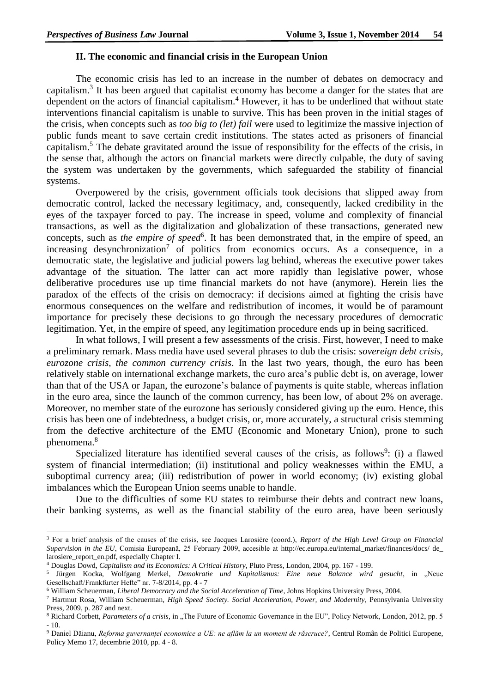#### **II. The economic and financial crisis in the European Union**

The economic crisis has led to an increase in the number of debates on democracy and capitalism.<sup>3</sup> It has been argued that capitalist economy has become a danger for the states that are dependent on the actors of financial capitalism. <sup>4</sup> However, it has to be underlined that without state interventions financial capitalism is unable to survive. This has been proven in the initial stages of the crisis, when concepts such as *too big to (let) fail* were used to legitimize the massive injection of public funds meant to save certain credit institutions. The states acted as prisoners of financial capitalism.<sup>5</sup> The debate gravitated around the issue of responsibility for the effects of the crisis, in the sense that, although the actors on financial markets were directly culpable, the duty of saving the system was undertaken by the governments, which safeguarded the stability of financial systems.

Overpowered by the crisis, government officials took decisions that slipped away from democratic control, lacked the necessary legitimacy, and, consequently, lacked credibility in the eyes of the taxpayer forced to pay. The increase in speed, volume and complexity of financial transactions, as well as the digitalization and globalization of these transactions, generated new concepts, such as *the empire of speed*<sup>6</sup>. It has been demonstrated that, in the empire of speed, an increasing desynchronization<sup>7</sup> of politics from economics occurs. As a consequence, in a democratic state, the legislative and judicial powers lag behind, whereas the executive power takes advantage of the situation. The latter can act more rapidly than legislative power, whose deliberative procedures use up time financial markets do not have (anymore). Herein lies the paradox of the effects of the crisis on democracy: if decisions aimed at fighting the crisis have enormous consequences on the welfare and redistribution of incomes, it would be of paramount importance for precisely these decisions to go through the necessary procedures of democratic legitimation. Yet, in the empire of speed, any legitimation procedure ends up in being sacrificed.

In what follows, I will present a few assessments of the crisis. First, however, I need to make a preliminary remark. Mass media have used several phrases to dub the crisis: *sovereign debt crisis, eurozone crisis, the common currency crisis*. In the last two years, though, the euro has been relatively stable on international exchange markets, the euro area's public debt is, on average, lower than that of the USA or Japan, the eurozone's balance of payments is quite stable, whereas inflation in the euro area, since the launch of the common currency, has been low, of about 2% on average. Moreover, no member state of the eurozone has seriously considered giving up the euro. Hence, this crisis has been one of indebtedness, a budget crisis, or, more accurately, a structural crisis stemming from the defective architecture of the EMU (Economic and Monetary Union), prone to such phenomena. 8

Specialized literature has identified several causes of the crisis, as follows $9$ : (i) a flawed system of financial intermediation; (ii) institutional and policy weaknesses within the EMU, a suboptimal currency area; (iii) redistribution of power in world economy; (iv) existing global imbalances which the European Union seems unable to handle.

Due to the difficulties of some EU states to reimburse their debts and contract new loans, their banking systems, as well as the financial stability of the euro area, have been seriously

1

<sup>3</sup> For a brief analysis of the causes of the crisis, see Jacques Larosiѐre (coord.), *Report of the High Level Group on Financial Supervision in the EU*, Comisia Europeană, 25 February 2009, accesible at http://ec.europa.eu/internal\_market/finances/docs/ de\_ larosiere\_report\_en.pdf, especially Chapter I.

<sup>4</sup> Douglas Dowd, *Capitalism and its Economics: A Critical History*, Pluto Press, London, 2004, pp. 167 - 199.

<sup>&</sup>lt;sup>5</sup> Jürgen Kocka, Wolfgang Merkel, *Demokratie und Kapitalismus: Eine neue Balance wird gesucht*, in "Neue Gesellschaft/Frankfurter Hefte" nr. 7-8/2014, pp. 4 - 7

<sup>6</sup> William Scheuerman, *Liberal Democracy and the Social Acceleration of Time*, Johns Hopkins University Press, 2004.

<sup>7</sup> Hartmut Rosa, William Scheuerman, *High Speed Society. Social Acceleration, Power, and Modernity*, Pennsylvania University Press, 2009, p. 287 and next.

<sup>&</sup>lt;sup>8</sup> Richard Corbett, *Parameters of a crisis*, in "The Future of Economic Governance in the EU", Policy Network, London, 2012, pp. 5  $-10.$ 

<sup>9</sup> Daniel Dăianu, *Reforma guvernanței economice a UE: ne aflăm la un moment de răscruce?*, Centrul Român de Politici Europene, Policy Memo 17, decembrie 2010, pp. 4 - 8.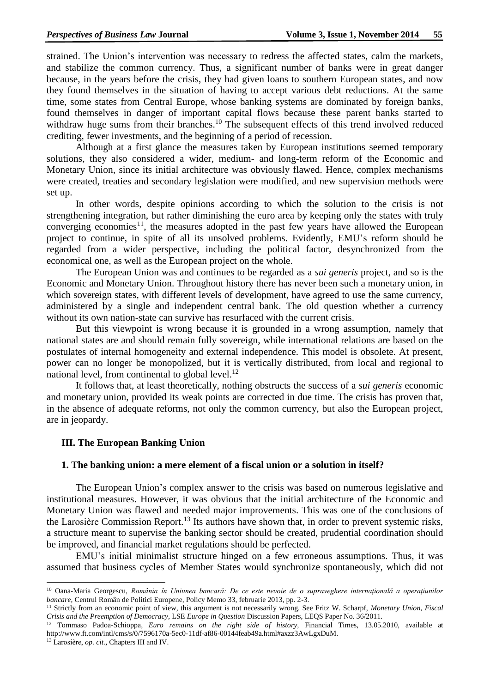strained. The Union's intervention was necessary to redress the affected states, calm the markets, and stabilize the common currency. Thus, a significant number of banks were in great danger because, in the years before the crisis, they had given loans to southern European states, and now they found themselves in the situation of having to accept various debt reductions. At the same time, some states from Central Europe, whose banking systems are dominated by foreign banks, found themselves in danger of important capital flows because these parent banks started to withdraw huge sums from their branches.<sup>10</sup> The subsequent effects of this trend involved reduced crediting, fewer investments, and the beginning of a period of recession.

Although at a first glance the measures taken by European institutions seemed temporary solutions, they also considered a wider, medium- and long-term reform of the Economic and Monetary Union, since its initial architecture was obviously flawed. Hence, complex mechanisms were created, treaties and secondary legislation were modified, and new supervision methods were set up.

In other words, despite opinions according to which the solution to the crisis is not strengthening integration, but rather diminishing the euro area by keeping only the states with truly converging economies<sup>11</sup>, the measures adopted in the past few years have allowed the European project to continue, in spite of all its unsolved problems. Evidently, EMU's reform should be regarded from a wider perspective, including the political factor, desynchronized from the economical one, as well as the European project on the whole.

The European Union was and continues to be regarded as a *sui generis* project, and so is the Economic and Monetary Union. Throughout history there has never been such a monetary union, in which sovereign states, with different levels of development, have agreed to use the same currency, administered by a single and independent central bank. The old question whether a currency without its own nation-state can survive has resurfaced with the current crisis.

But this viewpoint is wrong because it is grounded in a wrong assumption, namely that national states are and should remain fully sovereign, while international relations are based on the postulates of internal homogeneity and external independence. This model is obsolete. At present, power can no longer be monopolized, but it is vertically distributed, from local and regional to national level, from continental to global level.<sup>12</sup>

It follows that, at least theoretically, nothing obstructs the success of a *sui generis* economic and monetary union, provided its weak points are corrected in due time. The crisis has proven that, in the absence of adequate reforms, not only the common currency, but also the European project, are in jeopardy.

## **III. The European Banking Union**

### **1. The banking union: a mere element of a fiscal union or a solution in itself?**

The European Union's complex answer to the crisis was based on numerous legislative and institutional measures. However, it was obvious that the initial architecture of the Economic and Monetary Union was flawed and needed major improvements. This was one of the conclusions of the Larosière Commission Report.<sup>13</sup> Its authors have shown that, in order to prevent systemic risks, a structure meant to supervise the banking sector should be created, prudential coordination should be improved, and financial market regulations should be perfected.

EMU's initial minimalist structure hinged on a few erroneous assumptions. Thus, it was assumed that business cycles of Member States would synchronize spontaneously, which did not

**.** 

<sup>10</sup> Oana-Maria Georgescu, *România în Uniunea bancară: De ce este nevoie de o supraveghere internațională a operațiunilor bancare*, Centrul Român de Politici Europene, Policy Memo 33, februarie 2013, pp. 2-3.

<sup>11</sup> Strictly from an economic point of view, this argument is not necessarily wrong. See Fritz W. Scharpf, *Monetary Union, Fiscal Crisis and the Preemption of Democracy*, LSE *Europe in Question* Discussion Papers, LEQS Paper No. 36/2011.

<sup>12</sup> Tommaso Padoa-Schioppa, *Euro remains on the right side of history,* Financial Times, 13.05.2010, available at http://www.ft.com/intl/cms/s/0/7596170a-5ec0-11df-af86-00144feab49a.html#axzz3AwLgxDuM.

<sup>13</sup> Larosiѐre, *op. cit.,* Chapters III and IV.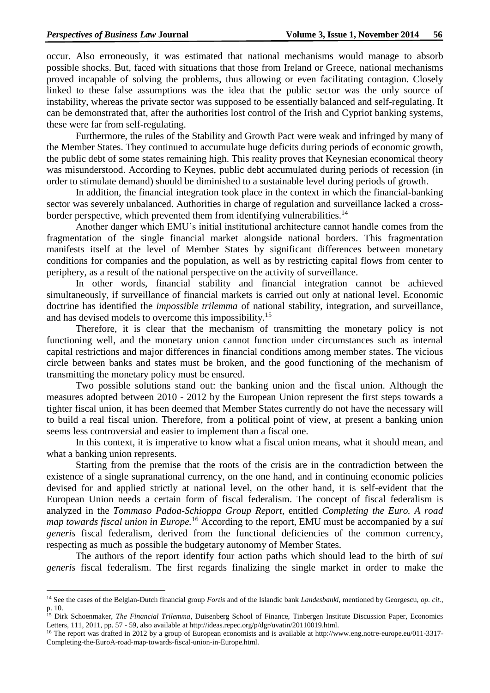$\overline{a}$ 

occur. Also erroneously, it was estimated that national mechanisms would manage to absorb possible shocks. But, faced with situations that those from Ireland or Greece, national mechanisms proved incapable of solving the problems, thus allowing or even facilitating contagion. Closely linked to these false assumptions was the idea that the public sector was the only source of instability, whereas the private sector was supposed to be essentially balanced and self-regulating. It can be demonstrated that, after the authorities lost control of the Irish and Cypriot banking systems, these were far from self-regulating.

Furthermore, the rules of the Stability and Growth Pact were weak and infringed by many of the Member States. They continued to accumulate huge deficits during periods of economic growth, the public debt of some states remaining high. This reality proves that Keynesian economical theory was misunderstood. According to Keynes, public debt accumulated during periods of recession (in order to stimulate demand) should be diminished to a sustainable level during periods of growth.

In addition, the financial integration took place in the context in which the financial-banking sector was severely unbalanced. Authorities in charge of regulation and surveillance lacked a crossborder perspective, which prevented them from identifying vulnerabilities.<sup>14</sup>

Another danger which EMU's initial institutional architecture cannot handle comes from the fragmentation of the single financial market alongside national borders. This fragmentation manifests itself at the level of Member States by significant differences between monetary conditions for companies and the population, as well as by restricting capital flows from center to periphery, as a result of the national perspective on the activity of surveillance.

In other words, financial stability and financial integration cannot be achieved simultaneously, if surveillance of financial markets is carried out only at national level. Economic doctrine has identified the *impossible trilemma* of national stability, integration, and surveillance, and has devised models to overcome this impossibility.<sup>15</sup>

Therefore, it is clear that the mechanism of transmitting the monetary policy is not functioning well, and the monetary union cannot function under circumstances such as internal capital restrictions and major differences in financial conditions among member states. The vicious circle between banks and states must be broken, and the good functioning of the mechanism of transmitting the monetary policy must be ensured.

Two possible solutions stand out: the banking union and the fiscal union. Although the measures adopted between 2010 - 2012 by the European Union represent the first steps towards a tighter fiscal union, it has been deemed that Member States currently do not have the necessary will to build a real fiscal union. Therefore, from a political point of view, at present a banking union seems less controversial and easier to implement than a fiscal one.

In this context, it is imperative to know what a fiscal union means, what it should mean, and what a banking union represents.

Starting from the premise that the roots of the crisis are in the contradiction between the existence of a single supranational currency, on the one hand, and in continuing economic policies devised for and applied strictly at national level, on the other hand, it is self-evident that the European Union needs a certain form of fiscal federalism. The concept of fiscal federalism is analyzed in the *Tommaso Padoa-Schioppa Group Report*, entitled *Completing the Euro. A road map towards fiscal union in Europe.*<sup>16</sup> According to the report, EMU must be accompanied by a *sui generis* fiscal federalism, derived from the functional deficiencies of the common currency, respecting as much as possible the budgetary autonomy of Member States.

The authors of the report identify four action paths which should lead to the birth of *sui generis* fiscal federalism. The first regards finalizing the single market in order to make the

<sup>14</sup> See the cases of the Belgian-Dutch financial group *Fortis* and of the Islandic bank *Landesbanki*, mentioned by Georgescu, *op. cit.*, p. 10.

<sup>15</sup> Dirk Schoenmaker, *The Financial Trilemma*, Duisenberg School of Finance, Tinbergen Institute Discussion Paper, Economics Letters, 111, 2011, pp. 57 - 59, also available at http://ideas.repec.org/p/dgr/uvatin/20110019.html.

<sup>&</sup>lt;sup>16</sup> The report was drafted in 2012 by a group of European economists and is available at http://www.eng.notre-europe.eu/011-3317-Completing-the-EuroA-road-map-towards-fiscal-union-in-Europe.html.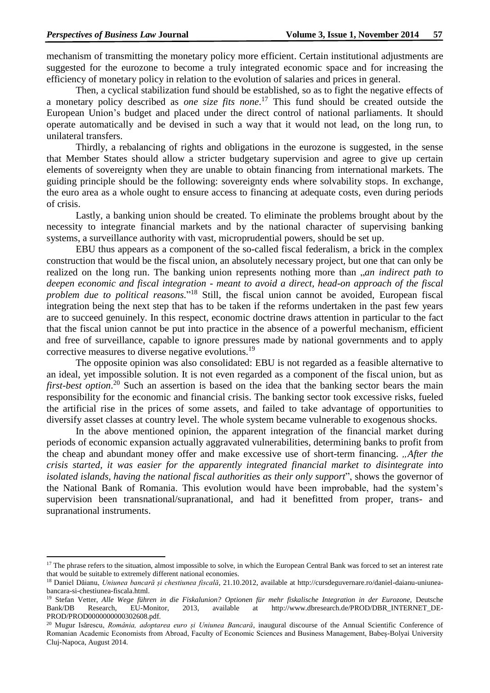**.** 

mechanism of transmitting the monetary policy more efficient. Certain institutional adjustments are suggested for the eurozone to become a truly integrated economic space and for increasing the efficiency of monetary policy in relation to the evolution of salaries and prices in general.

Then, a cyclical stabilization fund should be established, so as to fight the negative effects of a monetary policy described as *one size fits none*. <sup>17</sup> This fund should be created outside the European Union's budget and placed under the direct control of national parliaments. It should operate automatically and be devised in such a way that it would not lead, on the long run, to unilateral transfers.

Thirdly, a rebalancing of rights and obligations in the eurozone is suggested, in the sense that Member States should allow a stricter budgetary supervision and agree to give up certain elements of sovereignty when they are unable to obtain financing from international markets. The guiding principle should be the following: sovereignty ends where solvability stops. In exchange, the euro area as a whole ought to ensure access to financing at adequate costs, even during periods of crisis.

Lastly, a banking union should be created. To eliminate the problems brought about by the necessity to integrate financial markets and by the national character of supervising banking systems, a surveillance authority with vast, microprudential powers, should be set up.

EBU thus appears as a component of the so-called fiscal federalism, a brick in the complex construction that would be the fiscal union, an absolutely necessary project, but one that can only be realized on the long run. The banking union represents nothing more than "*an indirect path to deepen economic and fiscal integration - meant to avoid a direct, head-on approach of the fiscal problem due to political reasons.*" <sup>18</sup> Still, the fiscal union cannot be avoided, European fiscal integration being the next step that has to be taken if the reforms undertaken in the past few years are to succeed genuinely. In this respect, economic doctrine draws attention in particular to the fact that the fiscal union cannot be put into practice in the absence of a powerful mechanism, efficient and free of surveillance, capable to ignore pressures made by national governments and to apply corrective measures to diverse negative evolutions.<sup>19</sup>

The opposite opinion was also consolidated: EBU is not regarded as a feasible alternative to an ideal, yet impossible solution. It is not even regarded as a component of the fiscal union, but as first-best option.<sup>20</sup> Such an assertion is based on the idea that the banking sector bears the main responsibility for the economic and financial crisis. The banking sector took excessive risks, fueled the artificial rise in the prices of some assets, and failed to take advantage of opportunities to diversify asset classes at country level. The whole system became vulnerable to exogenous shocks.

In the above mentioned opinion, the apparent integration of the financial market during periods of economic expansion actually aggravated vulnerabilities, determining banks to profit from the cheap and abundant money offer and make excessive use of short-term financing. "After the *crisis started, it was easier for the apparently integrated financial market to disintegrate into isolated islands, having the national fiscal authorities as their only support*", shows the governor of the National Bank of Romania. This evolution would have been improbable, had the system's supervision been transnational/supranational, and had it benefitted from proper, trans- and supranational instruments.

<sup>&</sup>lt;sup>17</sup> The phrase refers to the situation, almost impossible to solve, in which the European Central Bank was forced to set an interest rate that would be suitable to extremely different national economies.

<sup>18</sup> Daniel Dăianu, *Uniunea bancară și chestiunea fiscală*, 21.10.2012, available at http://cursdeguvernare.ro/daniel-daianu-uniuneabancara-si-chestiunea-fiscala.html.

<sup>&</sup>lt;sup>19</sup> Stefan Vetter, Alle Wege führen in die Fiskalunion? Optionen für mehr fiskalische Integration in der Eurozone, Deutsche Bank/DB Research, EU-Monitor, 2013, available at http://www.dbresearch.de/PROD/DBR\_INTERNET\_DE-PROD/PROD0000000000302608.pdf.

<sup>20</sup> Mugur Isărescu, *România, adoptarea euro și Uniunea Bancară*, inaugural discourse of the Annual Scientific Conference of Romanian Academic Economists from Abroad, Faculty of Economic Sciences and Business Management, Babeș-Bolyai University Cluj-Napoca, August 2014.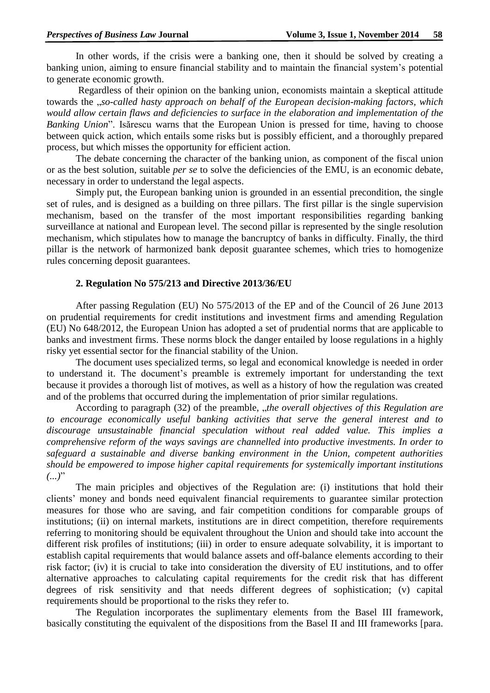In other words, if the crisis were a banking one, then it should be solved by creating a banking union, aiming to ensure financial stability and to maintain the financial system's potential to generate economic growth.

Regardless of their opinion on the banking union, economists maintain a skeptical attitude towards the "*so-called hasty approach on behalf of the European decision-making factors, which would allow certain flaws and deficiencies to surface in the elaboration and implementation of the Banking Union*". Isărescu warns that the European Union is pressed for time, having to choose between quick action, which entails some risks but is possibly efficient, and a thoroughly prepared process, but which misses the opportunity for efficient action.

The debate concerning the character of the banking union, as component of the fiscal union or as the best solution, suitable *per se* to solve the deficiencies of the EMU, is an economic debate, necessary in order to understand the legal aspects.

Simply put, the European banking union is grounded in an essential precondition, the single set of rules, and is designed as a building on three pillars. The first pillar is the single supervision mechanism, based on the transfer of the most important responsibilities regarding banking surveillance at national and European level. The second pillar is represented by the single resolution mechanism, which stipulates how to manage the bancruptcy of banks in difficulty. Finally, the third pillar is the network of harmonized bank deposit guarantee schemes, which tries to homogenize rules concerning deposit guarantees.

### **2. Regulation No 575/213 and Directive 2013/36/EU**

After passing Regulation (EU) No 575/2013 of the EP and of the Council of 26 June 2013 on prudential requirements for credit institutions and investment firms and amending Regulation (EU) No 648/2012, the European Union has adopted a set of prudential norms that are applicable to banks and investment firms. These norms block the danger entailed by loose regulations in a highly risky yet essential sector for the financial stability of the Union.

The document uses specialized terms, so legal and economical knowledge is needed in order to understand it. The document's preamble is extremely important for understanding the text because it provides a thorough list of motives, as well as a history of how the regulation was created and of the problems that occurred during the implementation of prior similar regulations.

According to paragraph (32) of the preamble, *"the overall objectives of this Regulation are to encourage economically useful banking activities that serve the general interest and to discourage unsustainable financial speculation without real added value. This implies a comprehensive reform of the ways savings are channelled into productive investments. In order to safeguard a sustainable and diverse banking environment in the Union, competent authorities should be empowered to impose higher capital requirements for systemically important institutions*   $(...)$ "

The main priciples and objectives of the Regulation are: (i) institutions that hold their clients' money and bonds need equivalent financial requirements to guarantee similar protection measures for those who are saving, and fair competition conditions for comparable groups of institutions; (ii) on internal markets, institutions are in direct competition, therefore requirements referring to monitoring should be equivalent throughout the Union and should take into account the different risk profiles of institutions; (iii) in order to ensure adequate solvability, it is important to establish capital requirements that would balance assets and off-balance elements according to their risk factor; (iv) it is crucial to take into consideration the diversity of EU institutions, and to offer alternative approaches to calculating capital requirements for the credit risk that has different degrees of risk sensitivity and that needs different degrees of sophistication; (v) capital requirements should be proportional to the risks they refer to.

The Regulation incorporates the suplimentary elements from the Basel III framework, basically constituting the equivalent of the dispositions from the Basel II and III frameworks [para.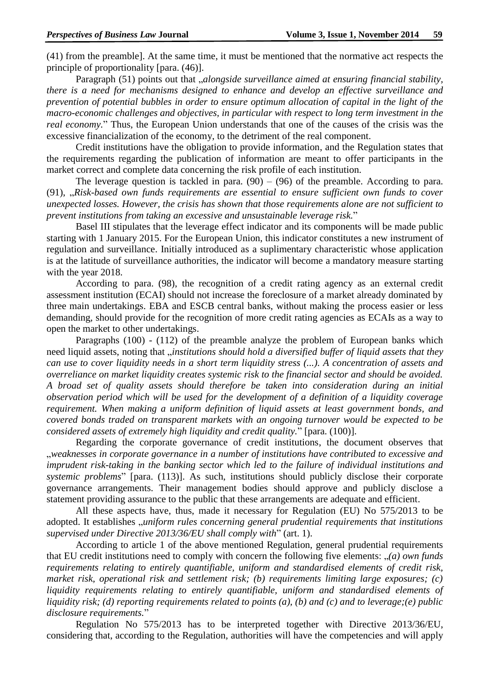(41) from the preamble]. At the same time, it must be mentioned that the normative act respects the principle of proportionality [para. (46)].

Paragraph (51) points out that *"alongside surveillance aimed at ensuring financial stability*, *there is a need for mechanisms designed to enhance and develop an effective surveillance and prevention of potential bubbles in order to ensure optimum allocation of capital in the light of the macro-economic challenges and objectives, in particular with respect to long term investment in the real economy.*" Thus, the European Union understands that one of the causes of the crisis was the excessive financialization of the economy, to the detriment of the real component.

Credit institutions have the obligation to provide information, and the Regulation states that the requirements regarding the publication of information are meant to offer participants in the market correct and complete data concerning the risk profile of each institution.

The leverage question is tackled in para.  $(90) - (96)$  of the preamble. According to para. (91), "*Risk-based own funds requirements are essential to ensure sufficient own funds to cover unexpected losses. However, the crisis has shown that those requirements alone are not sufficient to prevent institutions from taking an excessive and unsustainable leverage risk.*"

Basel III stipulates that the leverage effect indicator and its components will be made public starting with 1 January 2015. For the European Union, this indicator constitutes a new instrument of regulation and surveillance. Initially introduced as a suplimentary characteristic whose application is at the latitude of surveillance authorities, the indicator will become a mandatory measure starting with the year 2018.

According to para. (98), the recognition of a credit rating agency as an external credit assessment institution (ECAI) should not increase the foreclosure of a market already dominated by three main undertakings. EBA and ESCB central banks, without making the process easier or less demanding, should provide for the recognition of more credit rating agencies as ECAIs as a way to open the market to other undertakings.

Paragraphs (100) - (112) of the preamble analyze the problem of European banks which need liquid assets, noting that "*institutions should hold a diversified buffer of liquid assets that they can use to cover liquidity needs in a short term liquidity stress (...). A concentration of assets and overreliance on market liquidity creates systemic risk to the financial sector and should be avoided. A broad set of quality assets should therefore be taken into consideration during an initial observation period which will be used for the development of a definition of a liquidity coverage requirement. When making a uniform definition of liquid assets at least government bonds, and covered bonds traded on transparent markets with an ongoing turnover would be expected to be considered assets of extremely high liquidity and credit quality.*" [para. (100)].

Regarding the corporate governance of credit institutions, the document observes that "*weaknesses in corporate governance in a number of institutions have contributed to excessive and imprudent risk-taking in the banking sector which led to the failure of individual institutions and systemic problems*" [para. (113)]. As such, institutions should publicly disclose their corporate governance arrangements. Their management bodies should approve and publicly disclose a statement providing assurance to the public that these arrangements are adequate and efficient.

All these aspects have, thus, made it necessary for Regulation (EU) No 575/2013 to be adopted. It establishes "*uniform rules concerning general prudential requirements that institutions supervised under Directive 2013/36/EU shall comply with*" (art. 1).

According to article 1 of the above mentioned Regulation, general prudential requirements that EU credit institutions need to comply with concern the following five elements: "*(a) own funds requirements relating to entirely quantifiable, uniform and standardised elements of credit risk, market risk, operational risk and settlement risk; (b) requirements limiting large exposures; (c) liquidity requirements relating to entirely quantifiable, uniform and standardised elements of liquidity risk; (d) reporting requirements related to points (a), (b) and (c) and to leverage;(e) public disclosure requirements.*"

Regulation No 575/2013 has to be interpreted together with Directive 2013/36/EU, considering that, according to the Regulation, authorities will have the competencies and will apply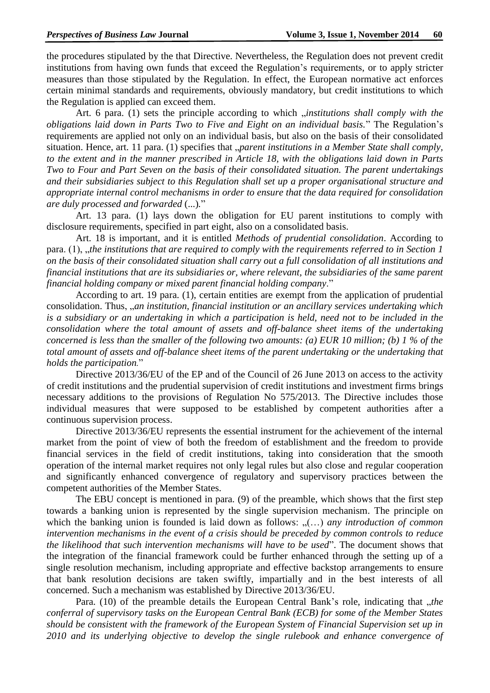the procedures stipulated by the that Directive. Nevertheless, the Regulation does not prevent credit institutions from having own funds that exceed the Regulation's requirements, or to apply stricter measures than those stipulated by the Regulation. In effect, the European normative act enforces certain minimal standards and requirements, obviously mandatory, but credit institutions to which the Regulation is applied can exceed them.

Art. 6 para. (1) sets the principle according to which *finistitutions shall comply with the obligations laid down in Parts Two to Five and Eight on an individual basis.*" The Regulation's requirements are applied not only on an individual basis, but also on the basis of their consolidated situation. Hence, art. 11 para. (1) specifies that *"parent institutions in a Member State shall comply*, *to the extent and in the manner prescribed in Article 18, with the obligations laid down in Parts Two to Four and Part Seven on the basis of their consolidated situation. The parent undertakings and their subsidiaries subject to this Regulation shall set up a proper organisational structure and appropriate internal control mechanisms in order to ensure that the data required for consolidation are duly processed and forwarded* (...)*.*"

Art. 13 para. (1) lays down the obligation for EU parent institutions to comply with disclosure requirements, specified in part eight, also on a consolidated basis.

Art. 18 is important, and it is entitled *Methods of prudential consolidation*. According to para. (1), whe institutions that are required to comply with the requirements referred to in Section 1 *on the basis of their consolidated situation shall carry out a full consolidation of all institutions and financial institutions that are its subsidiaries or, where relevant, the subsidiaries of the same parent financial holding company or mixed parent financial holding company*."

According to art. 19 para. (1), certain entities are exempt from the application of prudential consolidation. Thus, "*an institution, financial institution or an ancillary services undertaking which is a subsidiary or an undertaking in which a participation is held, need not to be included in the consolidation where the total amount of assets and off-balance sheet items of the undertaking concerned is less than the smaller of the following two amounts: (a) EUR 10 million; (b) 1 % of the total amount of assets and off-balance sheet items of the parent undertaking or the undertaking that holds the participation.*"

Directive 2013/36/EU of the EP and of the Council of 26 June 2013 on access to the activity of credit institutions and the prudential supervision of credit institutions and investment firms brings necessary additions to the provisions of Regulation No 575/2013. The Directive includes those individual measures that were supposed to be established by competent authorities after a continuous supervision process.

Directive 2013/36/EU represents the essential instrument for the achievement of the internal market from the point of view of both the freedom of establishment and the freedom to provide financial services in the field of credit institutions, taking into consideration that the smooth operation of the internal market requires not only legal rules but also close and regular cooperation and significantly enhanced convergence of regulatory and supervisory practices between the competent authorities of the Member States.

The EBU concept is mentioned in para. (9) of the preamble, which shows that the first step towards a banking union is represented by the single supervision mechanism. The principle on which the banking union is founded is laid down as follows: "(...) *any introduction of common intervention mechanisms in the event of a crisis should be preceded by common controls to reduce the likelihood that such intervention mechanisms will have to be used*". The document shows that the integration of the financial framework could be further enhanced through the setting up of a single resolution mechanism, including appropriate and effective backstop arrangements to ensure that bank resolution decisions are taken swiftly, impartially and in the best interests of all concerned. Such a mechanism was established by Directive 2013/36/EU.

Para. (10) of the preamble details the European Central Bank's role, indicating that *"the conferral of supervisory tasks on the European Central Bank (ECB) for some of the Member States should be consistent with the framework of the European System of Financial Supervision set up in 2010 and its underlying objective to develop the single rulebook and enhance convergence of*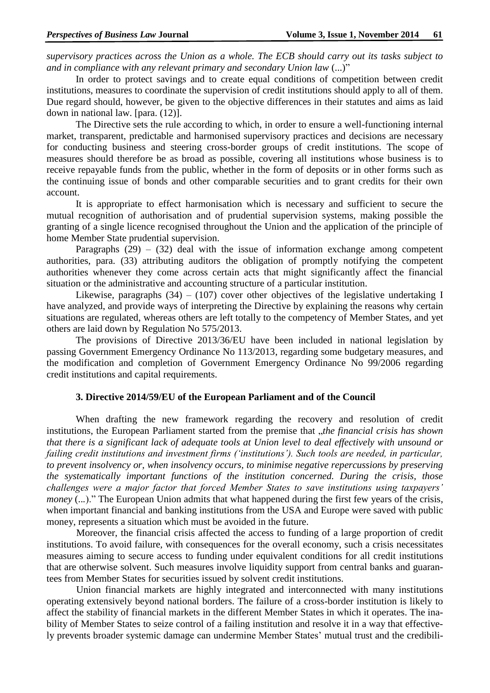*supervisory practices across the Union as a whole. The ECB should carry out its tasks subject to and in compliance with any relevant primary and secondary Union law* (...)"

In order to protect savings and to create equal conditions of competition between credit institutions, measures to coordinate the supervision of credit institutions should apply to all of them. Due regard should, however, be given to the objective differences in their statutes and aims as laid down in national law. [para. (12)].

The Directive sets the rule according to which, in order to ensure a well-functioning internal market, transparent, predictable and harmonised supervisory practices and decisions are necessary for conducting business and steering cross-border groups of credit institutions. The scope of measures should therefore be as broad as possible, covering all institutions whose business is to receive repayable funds from the public, whether in the form of deposits or in other forms such as the continuing issue of bonds and other comparable securities and to grant credits for their own account.

It is appropriate to effect harmonisation which is necessary and sufficient to secure the mutual recognition of authorisation and of prudential supervision systems, making possible the granting of a single licence recognised throughout the Union and the application of the principle of home Member State prudential supervision.

Paragraphs  $(29) - (32)$  deal with the issue of information exchange among competent authorities, para. (33) attributing auditors the obligation of promptly notifying the competent authorities whenever they come across certain acts that might significantly affect the financial situation or the administrative and accounting structure of a particular institution.

Likewise, paragraphs  $(34) - (107)$  cover other objectives of the legislative undertaking I have analyzed, and provide ways of interpreting the Directive by explaining the reasons why certain situations are regulated, whereas others are left totally to the competency of Member States, and yet others are laid down by Regulation No 575/2013.

The provisions of Directive 2013/36/EU have been included in national legislation by passing Government Emergency Ordinance No 113/2013, regarding some budgetary measures, and the modification and completion of Government Emergency Ordinance No 99/2006 regarding credit institutions and capital requirements.

#### **3. Directive 2014/59/EU of the European Parliament and of the Council**

When drafting the new framework regarding the recovery and resolution of credit institutions, the European Parliament started from the premise that *"the financial crisis has shown that there is a significant lack of adequate tools at Union level to deal effectively with unsound or failing credit institutions and investment firms ('institutions'). Such tools are needed, in particular, to prevent insolvency or, when insolvency occurs, to minimise negative repercussions by preserving the systematically important functions of the institution concerned. During the crisis, those challenges were a major factor that forced Member States to save institutions using taxpayers' money* (...)." The European Union admits that what happened during the first few years of the crisis, when important financial and banking institutions from the USA and Europe were saved with public money, represents a situation which must be avoided in the future.

Moreover, the financial crisis affected the access to funding of a large proportion of credit institutions. To avoid failure, with consequences for the overall economy, such a crisis necessitates measures aiming to secure access to funding under equivalent conditions for all credit institutions that are otherwise solvent. Such measures involve liquidity support from central banks and guarantees from Member States for securities issued by solvent credit institutions.

Union financial markets are highly integrated and interconnected with many institutions operating extensively beyond national borders. The failure of a cross-border institution is likely to affect the stability of financial markets in the different Member States in which it operates. The inability of Member States to seize control of a failing institution and resolve it in a way that effectively prevents broader systemic damage can undermine Member States' mutual trust and the credibili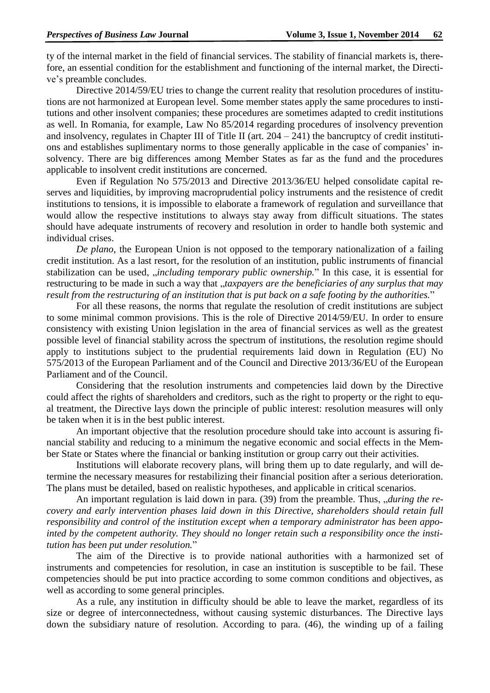ty of the internal market in the field of financial services. The stability of financial markets is, therefore, an essential condition for the establishment and functioning of the internal market, the Directive's preamble concludes.

Directive 2014/59/EU tries to change the current reality that resolution procedures of institutions are not harmonized at European level. Some member states apply the same procedures to institutions and other insolvent companies; these procedures are sometimes adapted to credit institutions as well. In Romania, for example, Law No 85/2014 regarding procedures of insolvency prevention and insolvency, regulates in Chapter III of Title II (art.  $204 - 241$ ) the bancruptcy of credit institutions and establishes suplimentary norms to those generally applicable in the case of companies' insolvency. There are big differences among Member States as far as the fund and the procedures applicable to insolvent credit institutions are concerned.

Even if Regulation No 575/2013 and Directive 2013/36/EU helped consolidate capital reserves and liquidities, by improving macroprudential policy instruments and the resistence of credit institutions to tensions, it is impossible to elaborate a framework of regulation and surveillance that would allow the respective institutions to always stay away from difficult situations. The states should have adequate instruments of recovery and resolution in order to handle both systemic and individual crises.

*De plano*, the European Union is not opposed to the temporary nationalization of a failing credit institution. As a last resort, for the resolution of an institution, public instruments of financial stabilization can be used, *"including temporary public ownership*." In this case, it is essential for restructuring to be made in such a way that "*taxpayers are the beneficiaries of any surplus that may result from the restructuring of an institution that is put back on a safe footing by the authorities.*"

For all these reasons, the norms that regulate the resolution of credit institutions are subject to some minimal common provisions. This is the role of Directive 2014/59/EU. In order to ensure consistency with existing Union legislation in the area of financial services as well as the greatest possible level of financial stability across the spectrum of institutions, the resolution regime should apply to institutions subject to the prudential requirements laid down in Regulation (EU) No 575/2013 of the European Parliament and of the Council and Directive 2013/36/EU of the European Parliament and of the Council.

Considering that the resolution instruments and competencies laid down by the Directive could affect the rights of shareholders and creditors, such as the right to property or the right to equal treatment, the Directive lays down the principle of public interest: resolution measures will only be taken when it is in the best public interest.

An important objective that the resolution procedure should take into account is assuring financial stability and reducing to a minimum the negative economic and social effects in the Member State or States where the financial or banking institution or group carry out their activities.

Institutions will elaborate recovery plans, will bring them up to date regularly, and will determine the necessary measures for restabilizing their financial position after a serious deterioration. The plans must be detailed, based on realistic hypotheses, and applicable in critical scenarios.

An important regulation is laid down in para. (39) from the preamble. Thus, *during the recovery and early intervention phases laid down in this Directive, shareholders should retain full responsibility and control of the institution except when a temporary administrator has been appointed by the competent authority. They should no longer retain such a responsibility once the institution has been put under resolution.*"

The aim of the Directive is to provide national authorities with a harmonized set of instruments and competencies for resolution, in case an institution is susceptible to be fail. These competencies should be put into practice according to some common conditions and objectives, as well as according to some general principles.

As a rule, any institution in difficulty should be able to leave the market, regardless of its size or degree of interconnectedness, without causing systemic disturbances. The Directive lays down the subsidiary nature of resolution. According to para. (46), the winding up of a failing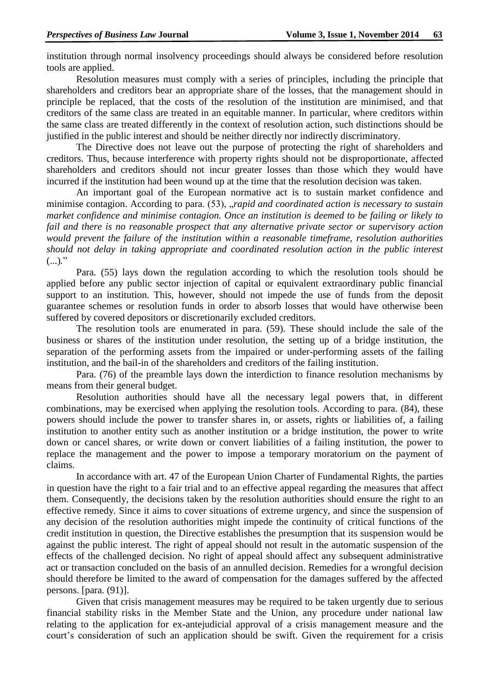institution through normal insolvency proceedings should always be considered before resolution tools are applied.

Resolution measures must comply with a series of principles, including the principle that shareholders and creditors bear an appropriate share of the losses, that the management should in principle be replaced, that the costs of the resolution of the institution are minimised, and that creditors of the same class are treated in an equitable manner. In particular, where creditors within the same class are treated differently in the context of resolution action, such distinctions should be justified in the public interest and should be neither directly nor indirectly discriminatory.

The Directive does not leave out the purpose of protecting the right of shareholders and creditors. Thus, because interference with property rights should not be disproportionate, affected shareholders and creditors should not incur greater losses than those which they would have incurred if the institution had been wound up at the time that the resolution decision was taken.

An important goal of the European normative act is to sustain market confidence and minimise contagion. According to para. (53), "*rapid and coordinated action is necessary to sustain market confidence and minimise contagion. Once an institution is deemed to be failing or likely to fail and there is no reasonable prospect that any alternative private sector or supervisory action would prevent the failure of the institution within a reasonable timeframe, resolution authorities should not delay in taking appropriate and coordinated resolution action in the public interest*  $(...).$ <sup>"</sup>

Para. (55) lays down the regulation according to which the resolution tools should be applied before any public sector injection of capital or equivalent extraordinary public financial support to an institution. This, however, should not impede the use of funds from the deposit guarantee schemes or resolution funds in order to absorb losses that would have otherwise been suffered by covered depositors or discretionarily excluded creditors.

The resolution tools are enumerated in para. (59). These should include the sale of the business or shares of the institution under resolution, the setting up of a bridge institution, the separation of the performing assets from the impaired or under-performing assets of the failing institution, and the bail-in of the shareholders and creditors of the failing institution.

Para. (76) of the preamble lays down the interdiction to finance resolution mechanisms by means from their general budget.

Resolution authorities should have all the necessary legal powers that, in different combinations, may be exercised when applying the resolution tools. According to para. (84), these powers should include the power to transfer shares in, or assets, rights or liabilities of, a failing institution to another entity such as another institution or a bridge institution, the power to write down or cancel shares, or write down or convert liabilities of a failing institution, the power to replace the management and the power to impose a temporary moratorium on the payment of claims.

In accordance with art. 47 of the European Union Charter of Fundamental Rights, the parties in question have the right to a fair trial and to an effective appeal regarding the measures that affect them. Consequently, the decisions taken by the resolution authorities should ensure the right to an effective remedy*.* Since it aims to cover situations of extreme urgency, and since the suspension of any decision of the resolution authorities might impede the continuity of critical functions of the credit institution in question, the Directive establishes the presumption that its suspension would be against the public interest. The right of appeal should not result in the automatic suspension of the effects of the challenged decision. No right of appeal should affect any subsequent administrative act or transaction concluded on the basis of an annulled decision. Remedies for a wrongful decision should therefore be limited to the award of compensation for the damages suffered by the affected persons. [para. (91)].

Given that crisis management measures may be required to be taken urgently due to serious financial stability risks in the Member State and the Union, any procedure under national law relating to the application for ex-antejudicial approval of a crisis management measure and the court's consideration of such an application should be swift. Given the requirement for a crisis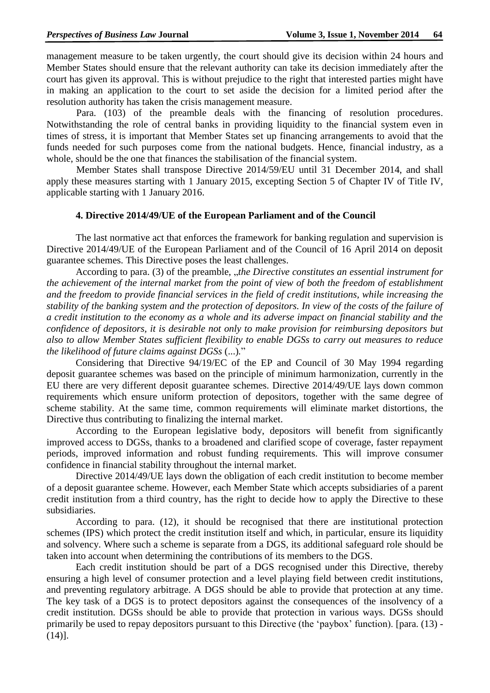management measure to be taken urgently, the court should give its decision within 24 hours and Member States should ensure that the relevant authority can take its decision immediately after the court has given its approval. This is without prejudice to the right that interested parties might have in making an application to the court to set aside the decision for a limited period after the resolution authority has taken the crisis management measure.

Para. (103) of the preamble deals with the financing of resolution procedures. Notwithstanding the role of central banks in providing liquidity to the financial system even in times of stress, it is important that Member States set up financing arrangements to avoid that the funds needed for such purposes come from the national budgets. Hence, financial industry, as a whole, should be the one that finances the stabilisation of the financial system.

Member States shall transpose Directive 2014/59/EU until 31 December 2014, and shall apply these measures starting with 1 January 2015, excepting Section 5 of Chapter IV of Title IV, applicable starting with 1 January 2016.

### **4. Directive 2014/49/UE of the European Parliament and of the Council**

The last normative act that enforces the framework for banking regulation and supervision is Directive 2014/49/UE of the European Parliament and of the Council of 16 April 2014 on deposit guarantee schemes. This Directive poses the least challenges.

According to para. (3) of the preamble, *"the Directive constitutes an essential instrument for the achievement of the internal market from the point of view of both the freedom of establishment and the freedom to provide financial services in the field of credit institutions, while increasing the stability of the banking system and the protection of depositors. In view of the costs of the failure of a credit institution to the economy as a whole and its adverse impact on financial stability and the confidence of depositors, it is desirable not only to make provision for reimbursing depositors but also to allow Member States sufficient flexibility to enable DGSs to carry out measures to reduce the likelihood of future claims against DGSs* (...)*.*"

Considering that Directive 94/19/EC of the EP and Council of 30 May 1994 regarding deposit guarantee schemes was based on the principle of minimum harmonization, currently in the EU there are very different deposit guarantee schemes. Directive 2014/49/UE lays down common requirements which ensure uniform protection of depositors, together with the same degree of scheme stability. At the same time, common requirements will eliminate market distortions, the Directive thus contributing to finalizing the internal market.

According to the European legislative body, depositors will benefit from significantly improved access to DGSs, thanks to a broadened and clarified scope of coverage, faster repayment periods, improved information and robust funding requirements. This will improve consumer confidence in financial stability throughout the internal market.

Directive 2014/49/UE lays down the obligation of each credit institution to become member of a deposit guarantee scheme. However, each Member State which accepts subsidiaries of a parent credit institution from a third country, has the right to decide how to apply the Directive to these subsidiaries.

According to para. (12), it should be recognised that there are institutional protection schemes (IPS) which protect the credit institution itself and which, in particular, ensure its liquidity and solvency. Where such a scheme is separate from a DGS, its additional safeguard role should be taken into account when determining the contributions of its members to the DGS.

Each credit institution should be part of a DGS recognised under this Directive, thereby ensuring a high level of consumer protection and a level playing field between credit institutions, and preventing regulatory arbitrage. A DGS should be able to provide that protection at any time. The key task of a DGS is to protect depositors against the consequences of the insolvency of a credit institution. DGSs should be able to provide that protection in various ways. DGSs should primarily be used to repay depositors pursuant to this Directive (the 'paybox' function). [para. (13) - (14)].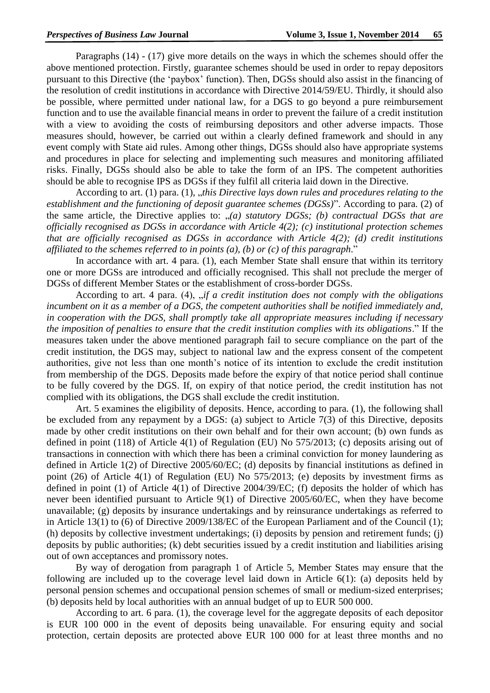Paragraphs (14) - (17) give more details on the ways in which the schemes should offer the above mentioned protection. Firstly, guarantee schemes should be used in order to repay depositors pursuant to this Directive (the 'paybox' function). Then, DGSs should also assist in the financing of the resolution of credit institutions in accordance with Directive 2014/59/EU. Thirdly, it should also be possible, where permitted under national law, for a DGS to go beyond a pure reimbursement function and to use the available financial means in order to prevent the failure of a credit institution with a view to avoiding the costs of reimbursing depositors and other adverse impacts. Those measures should, however, be carried out within a clearly defined framework and should in any event comply with State aid rules. Among other things, DGSs should also have appropriate systems and procedures in place for selecting and implementing such measures and monitoring affiliated risks. Finally, DGSs should also be able to take the form of an IPS. The competent authorities should be able to recognise IPS as DGSs if they fulfil all criteria laid down in the Directive.

According to art. (1) para. (1), "*this Directive lays down rules and procedures relating to the establishment and the functioning of deposit guarantee schemes (DGSs)*". According to para. (2) of the same article, the Directive applies to: "*(a) statutory DGSs; (b) contractual DGSs that are officially recognised as DGSs in accordance with Article 4(2); (c) institutional protection schemes that are officially recognised as DGSs in accordance with Article 4(2); (d) credit institutions affiliated to the schemes referred to in points (a), (b) or (c) of this paragraph*."

In accordance with art. 4 para. (1), each Member State shall ensure that within its territory one or more DGSs are introduced and officially recognised. This shall not preclude the merger of DGSs of different Member States or the establishment of cross-border DGSs.

According to art. 4 para. (4), *fit a credit institution does not comply with the obligations incumbent on it as a member of a DGS, the competent authorities shall be notified immediately and, in cooperation with the DGS, shall promptly take all appropriate measures including if necessary the imposition of penalties to ensure that the credit institution complies with its obligations*." If the measures taken under the above mentioned paragraph fail to secure compliance on the part of the credit institution, the DGS may, subject to national law and the express consent of the competent authorities, give not less than one month's notice of its intention to exclude the credit institution from membership of the DGS. Deposits made before the expiry of that notice period shall continue to be fully covered by the DGS. If, on expiry of that notice period, the credit institution has not complied with its obligations, the DGS shall exclude the credit institution.

Art. 5 examines the eligibility of deposits. Hence, according to para. (1), the following shall be excluded from any repayment by a DGS: (a) subject to Article 7(3) of this Directive, deposits made by other credit institutions on their own behalf and for their own account; (b) own funds as defined in point (118) of Article 4(1) of Regulation (EU) No 575/2013; (c) deposits arising out of transactions in connection with which there has been a criminal conviction for money laundering as defined in Article 1(2) of Directive 2005/60/EC; (d) deposits by financial institutions as defined in point (26) of Article 4(1) of Regulation (EU) No 575/2013; (e) deposits by investment firms as defined in point (1) of Article 4(1) of Directive 2004/39/EC; (f) deposits the holder of which has never been identified pursuant to Article 9(1) of Directive 2005/60/EC, when they have become unavailable; (g) deposits by insurance undertakings and by reinsurance undertakings as referred to in Article 13(1) to (6) of Directive 2009/138/EC of the European Parliament and of the Council (1); (h) deposits by collective investment undertakings; (i) deposits by pension and retirement funds; (j) deposits by public authorities; (k) debt securities issued by a credit institution and liabilities arising out of own acceptances and promissory notes.

By way of derogation from paragraph 1 of Article 5, Member States may ensure that the following are included up to the coverage level laid down in Article 6(1): (a) deposits held by personal pension schemes and occupational pension schemes of small or medium-sized enterprises; (b) deposits held by local authorities with an annual budget of up to EUR 500 000.

According to art. 6 para. (1), the coverage level for the aggregate deposits of each depositor is EUR 100 000 in the event of deposits being unavailable. For ensuring equity and social protection, certain deposits are protected above EUR 100 000 for at least three months and no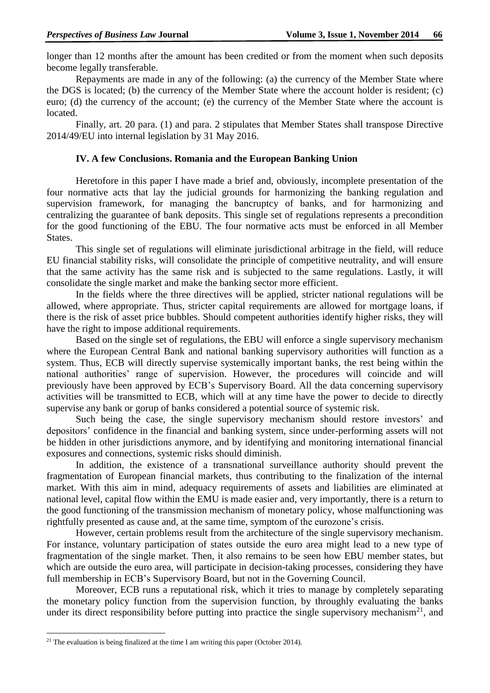longer than 12 months after the amount has been credited or from the moment when such deposits become legally transferable.

Repayments are made in any of the following: (a) the currency of the Member State where the DGS is located; (b) the currency of the Member State where the account holder is resident; (c) euro; (d) the currency of the account; (e) the currency of the Member State where the account is located.

Finally, art. 20 para. (1) and para. 2 stipulates that Member States shall transpose Directive 2014/49/EU into internal legislation by 31 May 2016.

## **IV. A few Conclusions. Romania and the European Banking Union**

Heretofore in this paper I have made a brief and, obviously, incomplete presentation of the four normative acts that lay the judicial grounds for harmonizing the banking regulation and supervision framework, for managing the bancruptcy of banks, and for harmonizing and centralizing the guarantee of bank deposits. This single set of regulations represents a precondition for the good functioning of the EBU. The four normative acts must be enforced in all Member States.

This single set of regulations will eliminate jurisdictional arbitrage in the field, will reduce EU financial stability risks, will consolidate the principle of competitive neutrality, and will ensure that the same activity has the same risk and is subjected to the same regulations. Lastly, it will consolidate the single market and make the banking sector more efficient.

In the fields where the three directives will be applied, stricter national regulations will be allowed, where appropriate. Thus, stricter capital requirements are allowed for mortgage loans, if there is the risk of asset price bubbles. Should competent authorities identify higher risks, they will have the right to impose additional requirements.

Based on the single set of regulations, the EBU will enforce a single supervisory mechanism where the European Central Bank and national banking supervisory authorities will function as a system. Thus, ECB will directly supervise systemically important banks, the rest being within the national authorities' range of supervision. However, the procedures will coincide and will previously have been approved by ECB's Supervisory Board. All the data concerning supervisory activities will be transmitted to ECB, which will at any time have the power to decide to directly supervise any bank or gorup of banks considered a potential source of systemic risk.

Such being the case, the single supervisory mechanism should restore investors' and depositors' confidence in the financial and banking system, since under-performing assets will not be hidden in other jurisdictions anymore, and by identifying and monitoring international financial exposures and connections, systemic risks should diminish.

In addition, the existence of a transnational surveillance authority should prevent the fragmentation of European financial markets, thus contributing to the finalization of the internal market. With this aim in mind, adequacy requirements of assets and liabilities are eliminated at national level, capital flow within the EMU is made easier and, very importantly, there is a return to the good functioning of the transmission mechanism of monetary policy, whose malfunctioning was rightfully presented as cause and, at the same time, symptom of the eurozone's crisis.

However, certain problems result from the architecture of the single supervisory mechanism. For instance, voluntary participation of states outside the euro area might lead to a new type of fragmentation of the single market. Then, it also remains to be seen how EBU member states, but which are outside the euro area, will participate in decision-taking processes, considering they have full membership in ECB's Supervisory Board, but not in the Governing Council.

Moreover, ECB runs a reputational risk, which it tries to manage by completely separating the monetary policy function from the supervision function, by throughly evaluating the banks under its direct responsibility before putting into practice the single supervisory mechanism<sup>21</sup>, and

 $\overline{a}$ 

<sup>&</sup>lt;sup>21</sup> The evaluation is being finalized at the time I am writing this paper (October 2014).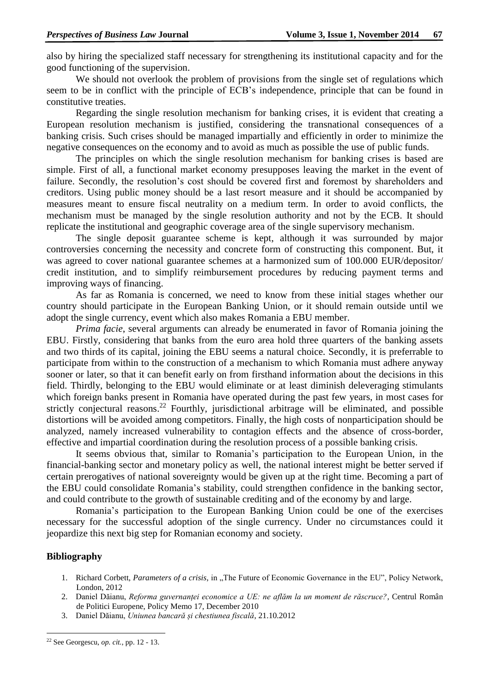also by hiring the specialized staff necessary for strengthening its institutional capacity and for the good functioning of the supervision.

We should not overlook the problem of provisions from the single set of regulations which seem to be in conflict with the principle of ECB's independence, principle that can be found in constitutive treaties.

Regarding the single resolution mechanism for banking crises, it is evident that creating a European resolution mechanism is justified, considering the transnational consequences of a banking crisis. Such crises should be managed impartially and efficiently in order to minimize the negative consequences on the economy and to avoid as much as possible the use of public funds.

The principles on which the single resolution mechanism for banking crises is based are simple. First of all, a functional market economy presupposes leaving the market in the event of failure. Secondly, the resolution's cost should be covered first and foremost by shareholders and creditors. Using public money should be a last resort measure and it should be accompanied by measures meant to ensure fiscal neutrality on a medium term. In order to avoid conflicts, the mechanism must be managed by the single resolution authority and not by the ECB. It should replicate the institutional and geographic coverage area of the single supervisory mechanism.

The single deposit guarantee scheme is kept, although it was surrounded by major controversies concerning the necessity and concrete form of constructing this component. But, it was agreed to cover national guarantee schemes at a harmonized sum of 100.000 EUR/depositor/ credit institution, and to simplify reimbursement procedures by reducing payment terms and improving ways of financing.

As far as Romania is concerned, we need to know from these initial stages whether our country should participate in the European Banking Union, or it should remain outside until we adopt the single currency, event which also makes Romania a EBU member.

*Prima facie*, several arguments can already be enumerated in favor of Romania joining the EBU. Firstly, considering that banks from the euro area hold three quarters of the banking assets and two thirds of its capital, joining the EBU seems a natural choice. Secondly, it is preferrable to participate from within to the construction of a mechanism to which Romania must adhere anyway sooner or later, so that it can benefit early on from firsthand information about the decisions in this field. Thirdly, belonging to the EBU would eliminate or at least diminish deleveraging stimulants which foreign banks present in Romania have operated during the past few years, in most cases for strictly conjectural reasons.<sup>22</sup> Fourthly, jurisdictional arbitrage will be eliminated, and possible distortions will be avoided among competitors. Finally, the high costs of nonparticipation should be analyzed, namely increased vulnerability to contagion effects and the absence of cross-border, effective and impartial coordination during the resolution process of a possible banking crisis.

It seems obvious that, similar to Romania's participation to the European Union, in the financial-banking sector and monetary policy as well, the national interest might be better served if certain prerogatives of national sovereignty would be given up at the right time. Becoming a part of the EBU could consolidate Romania's stability, could strengthen confidence in the banking sector, and could contribute to the growth of sustainable crediting and of the economy by and large.

Romania's participation to the European Banking Union could be one of the exercises necessary for the successful adoption of the single currency. Under no circumstances could it jeopardize this next big step for Romanian economy and society.

## **Bibliography**

 $\overline{a}$ 

- 1. Richard Corbett, *Parameters of a crisis*, in "The Future of Economic Governance in the EU", Policy Network, London, 2012
- 2. Daniel Dăianu, *Reforma guvernanței economice a UE: ne aflăm la un moment de răscruce?*, Centrul Român de Politici Europene, Policy Memo 17, December 2010
- 3. Daniel Dăianu, *Uniunea bancară și chestiunea fiscală*, 21.10.2012

<sup>22</sup> See Georgescu, *op. cit.*, pp. 12 - 13.